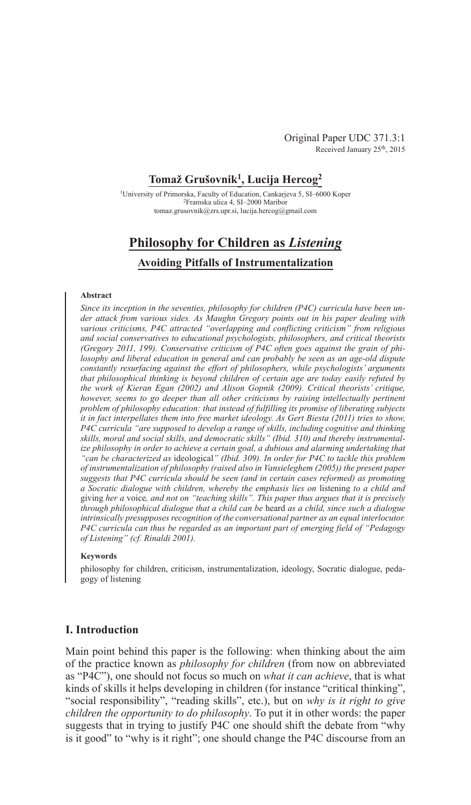Original Paper UDC 371.3:1 Received January 25<sup>th</sup>, 2015

### **Tomaž Grušovnik1, Lucija Hercog2**

1University of Primorska, Faculty of Education, Cankarjeva 5, SI–6000 Koper 2Framska ulica 4, SI–2000 Maribor tomaz.grusovnik@zrs.upr.si, lucija.hercog@gmail.com

# **Philosophy for Children as** *Listening*

### **Avoiding Pitfalls of Instrumentalization**

#### **Abstract**

*Since its inception in the seventies, philosophy for children (P4C) curricula have been under attack from various sides. As Maughn Gregory points out in his paper dealing with various criticisms, P4C attracted "overlapping and conflicting criticism" from religious and social conservatives to educational psychologists, philosophers, and critical theorists (Gregory 2011, 199). Conservative criticism of P4C often goes against the grain of philosophy and liberal education in general and can probably be seen as an age-old dispute constantly resurfacing against the effort of philosophers, while psychologists' arguments that philosophical thinking is beyond children of certain age are today easily refuted by the work of Kieran Egan (2002) and Alison Gopnik (2009). Critical theorists' critique,*  however, seems to go deeper than all other criticisms by raising intellectually pertinent *problem of philosophy education: that instead of fulfilling its promise of liberating subjects it in fact interpellates them into free market ideology. As Gert Biesta (2011) tries to show, P4C curricula "are supposed to develop a range of skills, including cognitive and thinking skills, moral and social skills, and democratic skills" (Ibid. 310) and thereby instrumentalize philosophy in order to achieve a certain goal, a dubious and alarming undertaking that "can be characterized as* ideological*" (Ibid. 309). In order for P4C to tackle this problem of instrumentalization of philosophy (raised also in Vansieleghem (2005)) the present paper suggests that P4C curricula should be seen (and in certain cases reformed) as promoting a Socratic dialogue with children, whereby the emphasis lies on* listening *to a child and*  giving *her a* voice*, and not on "teaching skills". This paper thus argues that it is precisely through philosophical dialogue that a child can be* heard *as a child, since such a dialogue intrinsically presupposes recognition of the conversational partner as an equal interlocutor. P4C curricula can thus be regarded as an important part of emerging field of "Pedagogy of Listening" (cf. Rinaldi 2001).*

#### **Keywords**

philosophy for children, criticism, instrumentalization, ideology, Socratic dialogue, pedagogy of listening

### **I. Introduction**

Main point behind this paper is the following: when thinking about the aim of the practice known as *philosophy for children* (from now on abbreviated as "P4C"), one should not focus so much on *what it can achieve*, that is what kinds of skills it helps developing in children (for instance "critical thinking", "social responsibility", "reading skills", etc.), but on *why is it right to give children the opportunity to do philosophy*. To put it in other words: the paper suggests that in trying to justify P4C one should shift the debate from "why is it good" to "why is it right"; one should change the P4C discourse from an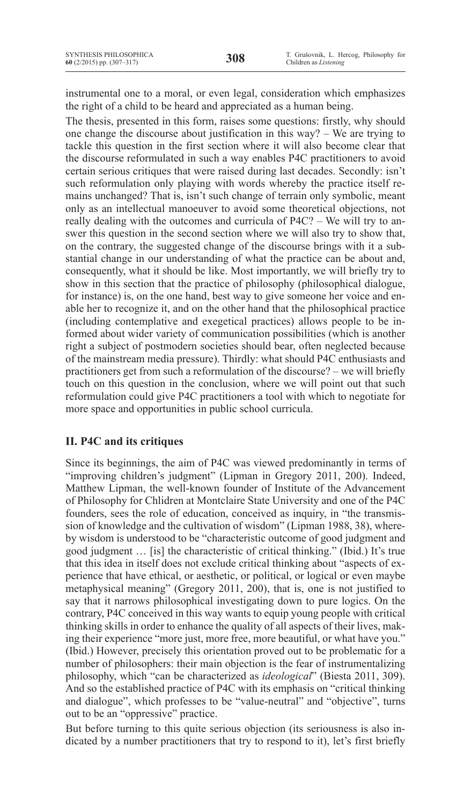instrumental one to a moral, or even legal, consideration which emphasizes the right of a child to be heard and appreciated as a human being.

The thesis, presented in this form, raises some questions: firstly, why should one change the discourse about justification in this way? – We are trying to tackle this question in the first section where it will also become clear that the discourse reformulated in such a way enables P4C practitioners to avoid certain serious critiques that were raised during last decades. Secondly: isn't such reformulation only playing with words whereby the practice itself remains unchanged? That is, isn't such change of terrain only symbolic, meant only as an intellectual manoeuver to avoid some theoretical objections, not really dealing with the outcomes and curricula of P4C? – We will try to answer this question in the second section where we will also try to show that, on the contrary, the suggested change of the discourse brings with it a substantial change in our understanding of what the practice can be about and, consequently, what it should be like. Most importantly, we will briefly try to show in this section that the practice of philosophy (philosophical dialogue, for instance) is, on the one hand, best way to give someone her voice and enable her to recognize it, and on the other hand that the philosophical practice (including contemplative and exegetical practices) allows people to be informed about wider variety of communication possibilities (which is another right a subject of postmodern societies should bear, often neglected because of the mainstream media pressure). Thirdly: what should P4C enthusiasts and practitioners get from such a reformulation of the discourse? – we will briefly touch on this question in the conclusion, where we will point out that such reformulation could give P4C practitioners a tool with which to negotiate for more space and opportunities in public school curricula.

# **II. P4C and its critiques**

Since its beginnings, the aim of P4C was viewed predominantly in terms of "improving children's judgment" (Lipman in Gregory 2011, 200). Indeed, Matthew Lipman, the well-known founder of Institute of the Advancement of Philosophy for Chlidren at Montclaire State University and one of the P4C founders, sees the role of education, conceived as inquiry, in "the transmission of knowledge and the cultivation of wisdom" (Lipman 1988, 38), whereby wisdom is understood to be "characteristic outcome of good judgment and good judgment … [is] the characteristic of critical thinking." (Ibid.) It's true that this idea in itself does not exclude critical thinking about "aspects of experience that have ethical, or aesthetic, or political, or logical or even maybe metaphysical meaning" (Gregory 2011, 200), that is, one is not justified to say that it narrows philosophical investigating down to pure logics. On the contrary, P4C conceived in this way wants to equip young people with critical thinking skills in order to enhance the quality of all aspects of their lives, making their experience "more just, more free, more beautiful, or what have you." (Ibid.) However, precisely this orientation proved out to be problematic for a number of philosophers: their main objection is the fear of instrumentalizing philosophy, which "can be characterized as *ideological*" (Biesta 2011, 309). And so the established practice of P4C with its emphasis on "critical thinking and dialogue", which professes to be "value-neutral" and "objective", turns out to be an "oppressive" practice.

But before turning to this quite serious objection (its seriousness is also indicated by a number practitioners that try to respond to it), let's first briefly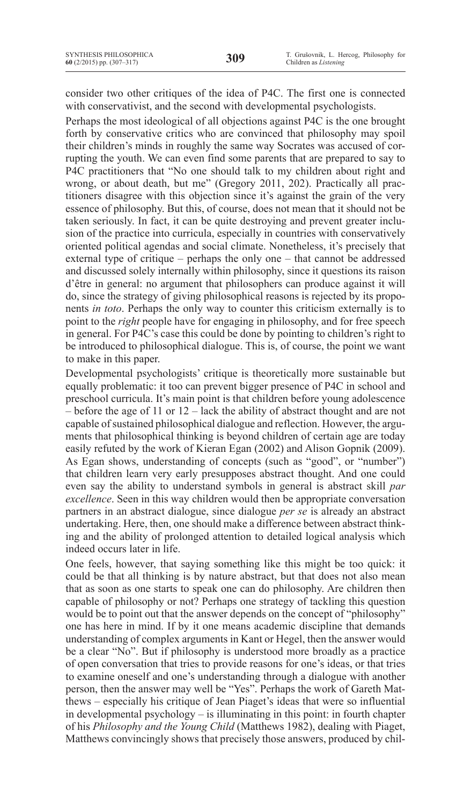consider two other critiques of the idea of P4C. The first one is connected with conservativist, and the second with developmental psychologists.

Perhaps the most ideological of all objections against P4C is the one brought forth by conservative critics who are convinced that philosophy may spoil their children's minds in roughly the same way Socrates was accused of corrupting the youth. We can even find some parents that are prepared to say to P4C practitioners that "No one should talk to my children about right and wrong, or about death, but me" (Gregory 2011, 202). Practically all practitioners disagree with this objection since it's against the grain of the very essence of philosophy. But this, of course, does not mean that it should not be taken seriously. In fact, it can be quite destroying and prevent greater inclusion of the practice into curricula, especially in countries with conservatively oriented political agendas and social climate. Nonetheless, it's precisely that external type of critique – perhaps the only one – that cannot be addressed and discussed solely internally within philosophy, since it questions its raison d'être in general: no argument that philosophers can produce against it will do, since the strategy of giving philosophical reasons is rejected by its proponents *in toto*. Perhaps the only way to counter this criticism externally is to point to the *right* people have for engaging in philosophy, and for free speech in general. For P4C's case this could be done by pointing to children's right to be introduced to philosophical dialogue. This is, of course, the point we want to make in this paper.

Developmental psychologists' critique is theoretically more sustainable but equally problematic: it too can prevent bigger presence of P4C in school and preschool curricula. It's main point is that children before young adolescence – before the age of 11 or 12 – lack the ability of abstract thought and are not capable of sustained philosophical dialogue and reflection. However, the arguments that philosophical thinking is beyond children of certain age are today easily refuted by the work of Kieran Egan (2002) and Alison Gopnik (2009). As Egan shows, understanding of concepts (such as "good", or "number") that children learn very early presupposes abstract thought. And one could even say the ability to understand symbols in general is abstract skill *par excellence*. Seen in this way children would then be appropriate conversation partners in an abstract dialogue, since dialogue *per se* is already an abstract undertaking. Here, then, one should make a difference between abstract thinking and the ability of prolonged attention to detailed logical analysis which indeed occurs later in life.

One feels, however, that saying something like this might be too quick: it could be that all thinking is by nature abstract, but that does not also mean that as soon as one starts to speak one can do philosophy. Are children then capable of philosophy or not? Perhaps one strategy of tackling this question would be to point out that the answer depends on the concept of "philosophy" one has here in mind. If by it one means academic discipline that demands understanding of complex arguments in Kant or Hegel, then the answer would be a clear "No". But if philosophy is understood more broadly as a practice of open conversation that tries to provide reasons for one's ideas, or that tries to examine oneself and one's understanding through a dialogue with another person, then the answer may well be "Yes". Perhaps the work of Gareth Matthews – especially his critique of Jean Piaget's ideas that were so influential in developmental psychology – is illuminating in this point: in fourth chapter of his *Philosophy and the Young Child* (Matthews 1982), dealing with Piaget, Matthews convincingly shows that precisely those answers, produced by chil-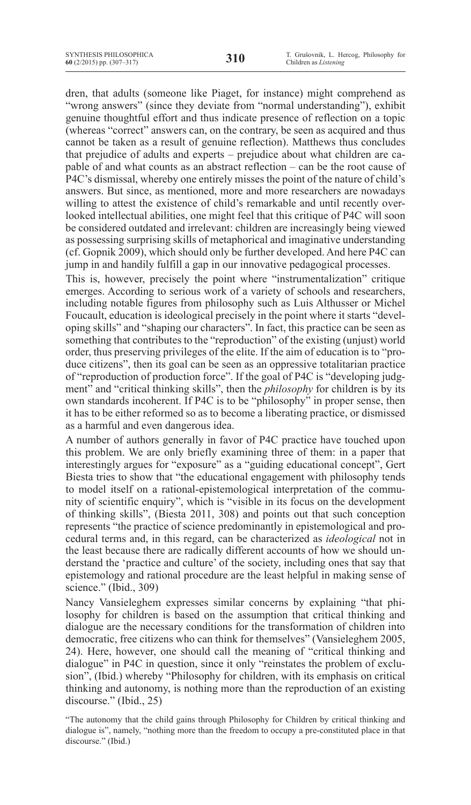dren, that adults (someone like Piaget, for instance) might comprehend as "wrong answers" (since they deviate from "normal understanding"), exhibit genuine thoughtful effort and thus indicate presence of reflection on a topic (whereas "correct" answers can, on the contrary, be seen as acquired and thus cannot be taken as a result of genuine reflection). Matthews thus concludes that prejudice of adults and experts – prejudice about what children are capable of and what counts as an abstract reflection – can be the root cause of P4C's dismissal, whereby one entirely misses the point of the nature of child's answers. But since, as mentioned, more and more researchers are nowadays willing to attest the existence of child's remarkable and until recently overlooked intellectual abilities, one might feel that this critique of P4C will soon be considered outdated and irrelevant: children are increasingly being viewed as possessing surprising skills of metaphorical and imaginative understanding (cf. Gopnik 2009), which should only be further developed. And here P4C can jump in and handily fulfill a gap in our innovative pedagogical processes.

This is, however, precisely the point where "instrumentalization" critique emerges. According to serious work of a variety of schools and researchers, including notable figures from philosophy such as Luis Althusser or Michel Foucault, education is ideological precisely in the point where it starts "developing skills" and "shaping our characters". In fact, this practice can be seen as something that contributes to the "reproduction" of the existing (unjust) world order, thus preserving privileges of the elite. If the aim of education is to "produce citizens", then its goal can be seen as an oppressive totalitarian practice of "reproduction of production force". If the goal of P4C is "developing judgment" and "critical thinking skills", then the *philosophy* for children is by its own standards incoherent. If P4C is to be "philosophy" in proper sense, then it has to be either reformed so as to become a liberating practice, or dismissed as a harmful and even dangerous idea.

A number of authors generally in favor of P4C practice have touched upon this problem. We are only briefly examining three of them: in a paper that interestingly argues for "exposure" as a "guiding educational concept", Gert Biesta tries to show that "the educational engagement with philosophy tends to model itself on a rational-epistemological interpretation of the community of scientific enquiry", which is "visible in its focus on the development of thinking skills", (Biesta 2011, 308) and points out that such conception represents "the practice of science predominantly in epistemological and procedural terms and, in this regard, can be characterized as *ideological* not in the least because there are radically different accounts of how we should understand the 'practice and culture' of the society, including ones that say that epistemology and rational procedure are the least helpful in making sense of science." (Ibid., 309)

Nancy Vansieleghem expresses similar concerns by explaining "that philosophy for children is based on the assumption that critical thinking and dialogue are the necessary conditions for the transformation of children into democratic, free citizens who can think for themselves" (Vansieleghem 2005, 24). Here, however, one should call the meaning of "critical thinking and dialogue" in P4C in question, since it only "reinstates the problem of exclusion", (Ibid.) whereby "Philosophy for children, with its emphasis on critical thinking and autonomy, is nothing more than the reproduction of an existing discourse." (Ibid., 25)

<sup>&</sup>quot;The autonomy that the child gains through Philosophy for Children by critical thinking and dialogue is", namely, "nothing more than the freedom to occupy a pre-constituted place in that discourse." (Ibid.)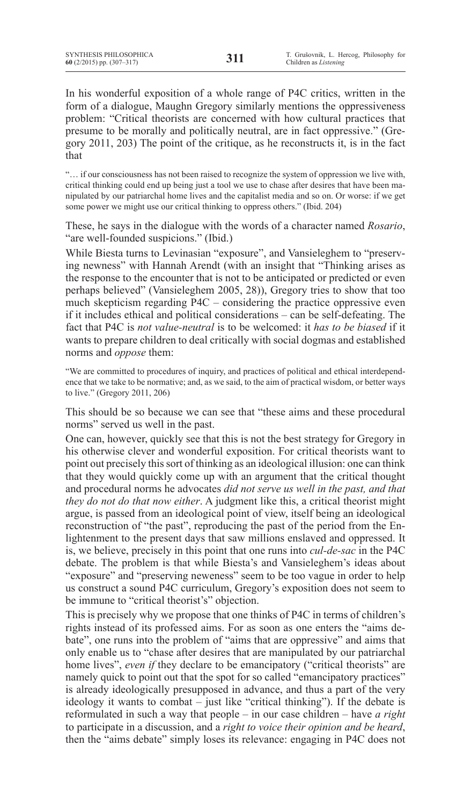In his wonderful exposition of a whole range of P4C critics, written in the form of a dialogue, Maughn Gregory similarly mentions the oppressiveness problem: "Critical theorists are concerned with how cultural practices that presume to be morally and politically neutral, are in fact oppressive." (Gregory 2011, 203) The point of the critique, as he reconstructs it, is in the fact that

"… if our consciousness has not been raised to recognize the system of oppression we live with, critical thinking could end up being just a tool we use to chase after desires that have been manipulated by our patriarchal home lives and the capitalist media and so on. Or worse: if we get some power we might use our critical thinking to oppress others." (Ibid. 204)

These, he says in the dialogue with the words of a character named *Rosario*, "are well-founded suspicions." (Ibid.)

While Biesta turns to Levinasian "exposure", and Vansieleghem to "preserving newness" with Hannah Arendt (with an insight that "Thinking arises as the response to the encounter that is not to be anticipated or predicted or even perhaps believed" (Vansieleghem 2005, 28)), Gregory tries to show that too much skepticism regarding P4C – considering the practice oppressive even if it includes ethical and political considerations – can be self-defeating. The fact that P4C is *not value-neutral* is to be welcomed: it *has to be biased* if it wants to prepare children to deal critically with social dogmas and established norms and *oppose* them:

"We are committed to procedures of inquiry, and practices of political and ethical interdependence that we take to be normative; and, as we said, to the aim of practical wisdom, or better ways to live." (Gregory 2011, 206)

This should be so because we can see that "these aims and these procedural norms" served us well in the past.

One can, however, quickly see that this is not the best strategy for Gregory in his otherwise clever and wonderful exposition. For critical theorists want to point out precisely thissort of thinking as an ideological illusion: one can think that they would quickly come up with an argument that the critical thought and procedural norms he advocates *did not serve us well in the past, and that they do not do that now either*. A judgment like this, a critical theorist might argue, is passed from an ideological point of view, itself being an ideological reconstruction of "the past", reproducing the past of the period from the Enlightenment to the present days that saw millions enslaved and oppressed. It is, we believe, precisely in this point that one runs into *cul-de-sac* in the P4C debate. The problem is that while Biesta's and Vansieleghem's ideas about "exposure" and "preserving neweness" seem to be too vague in order to help us construct a sound P4C curriculum, Gregory's exposition does not seem to be immune to "critical theorist's" objection.

This is precisely why we propose that one thinks of P4C in terms of children's rights instead of its professed aims. For as soon as one enters the "aims debate", one runs into the problem of "aims that are oppressive" and aims that only enable us to "chase after desires that are manipulated by our patriarchal home lives", *even if* they declare to be emancipatory ("critical theorists" are namely quick to point out that the spot for so called "emancipatory practices" is already ideologically presupposed in advance, and thus a part of the very ideology it wants to combat – just like "critical thinking"). If the debate is reformulated in such a way that people – in our case children – have *a right*  to participate in a discussion, and a *right to voice their opinion and be heard*, then the "aims debate" simply loses its relevance: engaging in P4C does not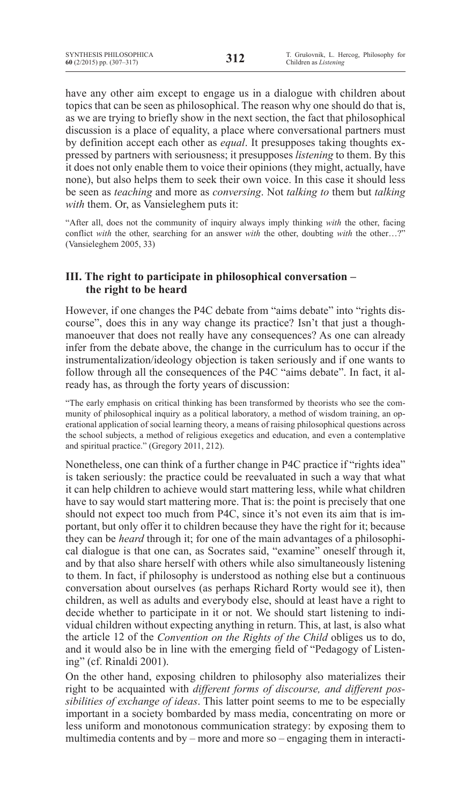have any other aim except to engage us in a dialogue with children about topics that can be seen as philosophical. The reason why one should do that is, as we are trying to briefly show in the next section, the fact that philosophical discussion is a place of equality, a place where conversational partners must by definition accept each other as *equal*. It presupposes taking thoughts expressed by partners with seriousness; it presupposes *listening* to them. By this it does not only enable them to voice their opinions (they might, actually, have none), but also helps them to seek their own voice. In this case it should less be seen as *teaching* and more as *conversing*. Not *talking to* them but *talking with* them. Or, as Vansieleghem puts it:

"After all, does not the community of inquiry always imply thinking *with* the other, facing conflict *with* the other, searching for an answer *with* the other, doubting *with* the other…?" (Vansieleghem 2005, 33)

### **III. The right to participate in philosophical conversation – the right to be heard**

However, if one changes the P4C debate from "aims debate" into "rights discourse", does this in any way change its practice? Isn't that just a thoughmanoeuver that does not really have any consequences? As one can already infer from the debate above, the change in the curriculum has to occur if the instrumentalization/ideology objection is taken seriously and if one wants to follow through all the consequences of the P4C "aims debate". In fact, it already has, as through the forty years of discussion:

"The early emphasis on critical thinking has been transformed by theorists who see the community of philosophical inquiry as a political laboratory, a method of wisdom training, an operational application of social learning theory, a means of raising philosophical questions across the school subjects, a method of religious exegetics and education, and even a contemplative and spiritual practice." (Gregory 2011, 212).

Nonetheless, one can think of a further change in P4C practice if "rights idea" is taken seriously: the practice could be reevaluated in such a way that what it can help children to achieve would start mattering less, while what children have to say would start mattering more. That is: the point is precisely that one should not expect too much from P4C, since it's not even its aim that is important, but only offer it to children because they have the right for it; because they can be *heard* through it; for one of the main advantages of a philosophical dialogue is that one can, as Socrates said, "examine" oneself through it, and by that also share herself with others while also simultaneously listening to them. In fact, if philosophy is understood as nothing else but a continuous conversation about ourselves (as perhaps Richard Rorty would see it), then children, as well as adults and everybody else, should at least have a right to decide whether to participate in it or not. We should start listening to individual children without expecting anything in return. This, at last, is also what the article 12 of the *Convention on the Rights of the Child* obliges us to do, and it would also be in line with the emerging field of "Pedagogy of Listening" (cf. Rinaldi 2001).

On the other hand, exposing children to philosophy also materializes their right to be acquainted with *different forms of discourse, and different possibilities of exchange of ideas*. This latter point seems to me to be especially important in a society bombarded by mass media, concentrating on more or less uniform and monotonous communication strategy: by exposing them to multimedia contents and by – more and more so – engaging them in interacti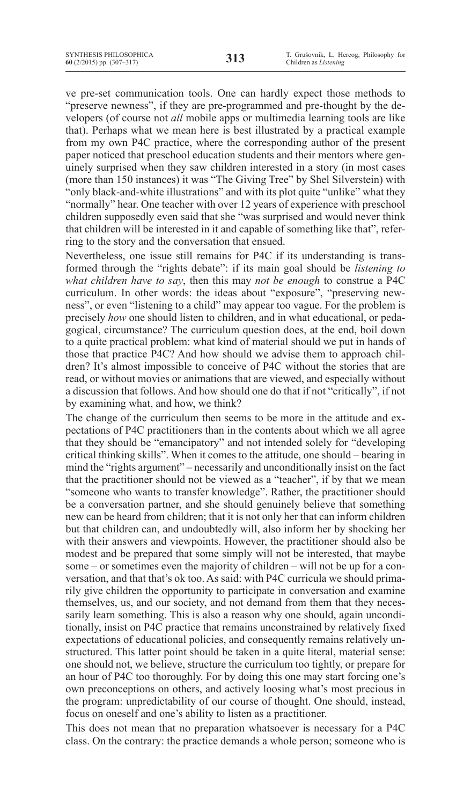ve pre-set communication tools. One can hardly expect those methods to "preserve newness", if they are pre-programmed and pre-thought by the developers (of course not *all* mobile apps or multimedia learning tools are like that). Perhaps what we mean here is best illustrated by a practical example from my own P4C practice, where the corresponding author of the present paper noticed that preschool education students and their mentors where genuinely surprised when they saw children interested in a story (in most cases (more than 150 instances) it was "The Giving Tree" by Shel Silverstein) with "only black-and-white illustrations" and with its plot quite "unlike" what they "normally" hear. One teacher with over 12 years of experience with preschool children supposedly even said that she "was surprised and would never think that children will be interested in it and capable of something like that", referring to the story and the conversation that ensued.

Nevertheless, one issue still remains for P4C if its understanding is transformed through the "rights debate": if its main goal should be *listening to what children have to say*, then this may *not be enough* to construe a P4C curriculum. In other words: the ideas about "exposure", "preserving newness", or even "listening to a child" may appear too vague. For the problem is precisely *how* one should listen to children, and in what educational, or pedagogical, circumstance? The curriculum question does, at the end, boil down to a quite practical problem: what kind of material should we put in hands of those that practice P4C? And how should we advise them to approach children? It's almost impossible to conceive of P4C without the stories that are read, or without movies or animations that are viewed, and especially without a discussion that follows. And how should one do that if not "critically", if not by examining what, and how, we think?

The change of the curriculum then seems to be more in the attitude and expectations of P4C practitioners than in the contents about which we all agree that they should be "emancipatory" and not intended solely for "developing critical thinking skills". When it comes to the attitude, one should – bearing in mind the "rights argument" – necessarily and unconditionally insist on the fact that the practitioner should not be viewed as a "teacher", if by that we mean "someone who wants to transfer knowledge". Rather, the practitioner should be a conversation partner, and she should genuinely believe that something new can be heard from children; that it is not only her that can inform children but that children can, and undoubtedly will, also inform her by shocking her with their answers and viewpoints. However, the practitioner should also be modest and be prepared that some simply will not be interested, that maybe some – or sometimes even the majority of children – will not be up for a conversation, and that that's ok too. As said: with P4C curricula we should primarily give children the opportunity to participate in conversation and examine themselves, us, and our society, and not demand from them that they necessarily learn something. This is also a reason why one should, again unconditionally, insist on P4C practice that remains unconstrained by relatively fixed expectations of educational policies, and consequently remains relatively unstructured. This latter point should be taken in a quite literal, material sense: one should not, we believe, structure the curriculum too tightly, or prepare for an hour of P4C too thoroughly. For by doing this one may start forcing one's own preconceptions on others, and actively loosing what's most precious in the program: unpredictability of our course of thought. One should, instead, focus on oneself and one's ability to listen as a practitioner.

This does not mean that no preparation whatsoever is necessary for a P4C class. On the contrary: the practice demands a whole person; someone who is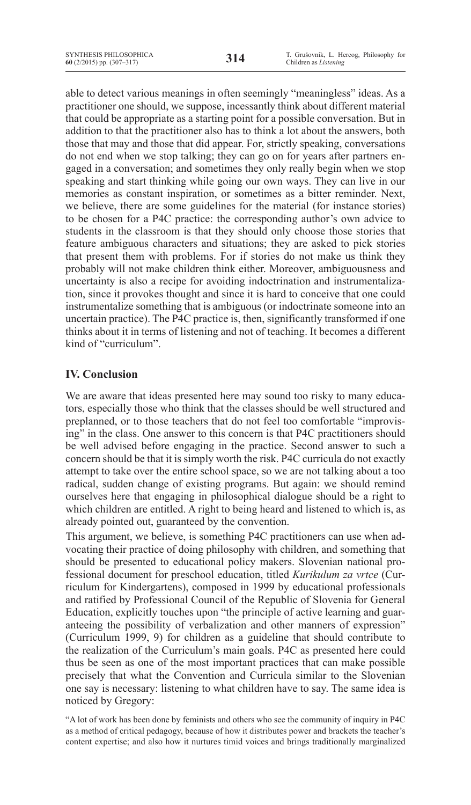able to detect various meanings in often seemingly "meaningless" ideas. As a practitioner one should, we suppose, incessantly think about different material that could be appropriate as a starting point for a possible conversation. But in addition to that the practitioner also has to think a lot about the answers, both those that may and those that did appear. For, strictly speaking, conversations do not end when we stop talking; they can go on for years after partners engaged in a conversation; and sometimes they only really begin when we stop speaking and start thinking while going our own ways. They can live in our memories as constant inspiration, or sometimes as a bitter reminder. Next, we believe, there are some guidelines for the material (for instance stories) to be chosen for a P4C practice: the corresponding author's own advice to students in the classroom is that they should only choose those stories that feature ambiguous characters and situations; they are asked to pick stories that present them with problems. For if stories do not make us think they probably will not make children think either. Moreover, ambiguousness and uncertainty is also a recipe for avoiding indoctrination and instrumentalization, since it provokes thought and since it is hard to conceive that one could instrumentalize something that is ambiguous (or indoctrinate someone into an uncertain practice). The P4C practice is, then, significantly transformed if one thinks about it in terms of listening and not of teaching. It becomes a different kind of "curriculum".

# **IV. Conclusion**

We are aware that ideas presented here may sound too risky to many educators, especially those who think that the classes should be well structured and preplanned, or to those teachers that do not feel too comfortable "improvising" in the class. One answer to this concern is that P4C practitioners should be well advised before engaging in the practice. Second answer to such a concern should be that it is simply worth the risk. P4C curricula do not exactly attempt to take over the entire school space, so we are not talking about a too radical, sudden change of existing programs. But again: we should remind ourselves here that engaging in philosophical dialogue should be a right to which children are entitled. A right to being heard and listened to which is, as already pointed out, guaranteed by the convention.

This argument, we believe, is something P4C practitioners can use when advocating their practice of doing philosophy with children, and something that should be presented to educational policy makers. Slovenian national professional document for preschool education, titled *Kurikulum za vrtce* (Curriculum for Kindergartens), composed in 1999 by educational professionals and ratified by Professional Council of the Republic of Slovenia for General Education, explicitly touches upon "the principle of active learning and guaranteeing the possibility of verbalization and other manners of expression" (Curriculum 1999, 9) for children as a guideline that should contribute to the realization of the Curriculum's main goals. P4C as presented here could thus be seen as one of the most important practices that can make possible precisely that what the Convention and Curricula similar to the Slovenian one say is necessary: listening to what children have to say. The same idea is noticed by Gregory:

"A lot of work has been done by feminists and others who see the community of inquiry in P4C as a method of critical pedagogy, because of how it distributes power and brackets the teacher's content expertise; and also how it nurtures timid voices and brings traditionally marginalized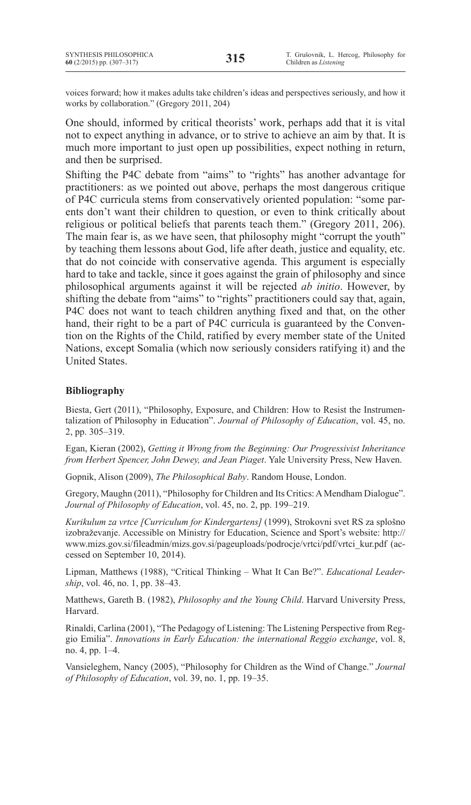voices forward; how it makes adults take children's ideas and perspectives seriously, and how it works by collaboration." (Gregory 2011, 204)

One should, informed by critical theorists' work, perhaps add that it is vital not to expect anything in advance, or to strive to achieve an aim by that. It is much more important to just open up possibilities, expect nothing in return, and then be surprised.

Shifting the P4C debate from "aims" to "rights" has another advantage for practitioners: as we pointed out above, perhaps the most dangerous critique of P4C curricula stems from conservatively oriented population: "some parents don't want their children to question, or even to think critically about religious or political beliefs that parents teach them." (Gregory 2011, 206). The main fear is, as we have seen, that philosophy might "corrupt the youth" by teaching them lessons about God, life after death, justice and equality, etc. that do not coincide with conservative agenda. This argument is especially hard to take and tackle, since it goes against the grain of philosophy and since philosophical arguments against it will be rejected *ab initio*. However, by shifting the debate from "aims" to "rights" practitioners could say that, again, P4C does not want to teach children anything fixed and that, on the other hand, their right to be a part of P4C curricula is guaranteed by the Convention on the Rights of the Child, ratified by every member state of the United Nations, except Somalia (which now seriously considers ratifying it) and the United States.

### **Bibliography**

Biesta, Gert (2011), "Philosophy, Exposure, and Children: How to Resist the Instrumentalization of Philosophy in Education". *Journal of Philosophy of Education*, vol. 45, no. 2, pp. 305–319.

Egan, Kieran (2002), *Getting it Wrong from the Beginning: Our Progressivist Inheritance from Herbert Spencer, John Dewey, and Jean Piaget*. Yale University Press, New Haven.

Gopnik, Alison (2009), *The Philosophical Baby*. Random House, London.

Gregory, Maughn (2011), "Philosophy for Children and Its Critics: A Mendham Dialogue". *Journal of Philosophy of Education*, vol. 45, no. 2, pp. 199–219.

*Kurikulum za vrtce [Curriculum for Kindergartens]* (1999), Strokovni svet RS za splošno izobraževanje. Accessible on Ministry for Education, Science and Sport's website: http:// www.mizs.gov.si/fileadmin/mizs.gov.si/pageuploads/podrocje/vrtci/pdf/vrtci\_kur.pdf (accessed on September 10, 2014).

Lipman, Matthews (1988), "Critical Thinking – What It Can Be?". *Educational Leadership*, vol. 46, no. 1, pp. 38–43.

Matthews, Gareth B. (1982), *Philosophy and the Young Child*. Harvard University Press, Harvard.

Rinaldi, Carlina (2001), "The Pedagogy of Listening: The Listening Perspective from Reggio Emilia". *Innovations in Early Education: the international Reggio exchange*, vol. 8, no. 4, pp. 1–4.

Vansieleghem, Nancy (2005), "Philosophy for Children as the Wind of Change." *Journal of Philosophy of Education*, vol. 39, no. 1, pp. 19–35.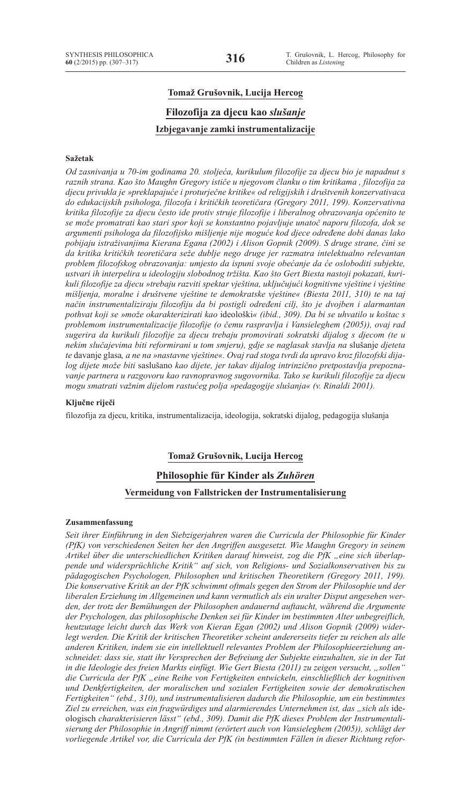# **Tomaž Grušovnik, Lucija Hercog Filozofija za djecu kao** *slušanje* **Izbjegavanje zamki instrumentalizacije**

#### **Sažetak**

*Od zasnivanja u 70-im godinama 20. stoljeća, kurikulum filozofije za djecu bio je napadnut s raznih strana. Kao što Maughn Gregory ističe u njegovom članku o tim kritikama , filozofija za djecu privukla je »preklapajuće i proturječne kritike« od religijskih i društvenih konzervativaca do edukacijskih psihologa, filozofa i kritičkih teoretičara (Gregory 2011, 199). Konzervativna kritika filozofije za djecu često ide protiv struje filozofije i liberalnog obrazovanja općenito te se može promatrati kao stari spor koji se konstantno pojavljuje unatoč naporu filozofa, dok se argumenti psihologa da filozofijsko mišljenje nije moguće kod djece određene dobi danas lako pobijaju istraživanjima Kierana Egana (2002) i Alison Gopnik (2009). S druge strane, čini se da kritika kritičkih teoretičara seže dublje nego druge jer razmatra intelektualno relevantan problem filozofskog obrazovanja: umjesto da ispuni svoje obećanje da će osloboditi subjekte, ustvari ih interpelira u ideologiju slobodnog tržišta. Kao što Gert Biesta nastoji pokazati, kurikuli filozofije za djecu »trebaju razviti spektar vještina, uključujući kognitivne vještine i vještine mišljenja, moralne i društvene vještine te demokratske vještine« (Biesta 2011, 310) te na taj način instrumentaliziraju filozofiju da bi postigli određeni cilj, što je dvojben i alarmantan pothvat koji se »može okarakterizirati kao* ideološki*« (ibid., 309). Da bi se uhvatilo u koštac s problemom instrumentalizacije filozofije (o čemu raspravlja i Vansieleghem (2005)), ovaj rad sugerira da kurikuli filozofije za djecu trebaju promovirati sokratski dijalog s djecom (te u nekim slučajevima biti reformirani u tom smjeru), gdje se naglasak stavlja na* slušanje *djeteta te* davanje glasa*, a ne na »nastavne vještine«. Ovaj rad stoga tvrdi da upravo kroz filozofski dijalog dijete može biti* saslušano *kao dijete, jer takav dijalog intrinzično pretpostavlja prepoznavanje partnera u razgovoru kao ravnopravnog sugovornika. Tako se kurikuli filozofije za djecu mogu smatrati važnim dijelom rastućeg polja »pedagogije slušanja« (v. Rinaldi 2001).*

#### **Ključne riječi**

filozofija za djecu, kritika, instrumentalizacija, ideologija, sokratski dijalog, pedagogija slušanja

#### **Tomaž Grušovnik, Lucija Hercog**

#### **Philosophie für Kinder als** *Zuhören*

#### **Vermeidung von Fallstricken der Instrumentalisierung**

#### **Zusammenfassung**

*Seit ihrer Einführung in den Siebzigerjahren waren die Curricula der Philosophie für Kinder (PfK) von verschiedenen Seiten her den Angriffen ausgesetzt. Wie Maughn Gregory in seinem*  Artikel über die unterschiedlichen Kritiken darauf hinweist, zog die PfK "eine sich überlap*pende und widersprüchliche Kritik" auf sich, von Religions- und Sozialkonservativen bis zu pädagogischen Psychologen, Philosophen und kritischen Theoretikern (Gregory 2011, 199). Die konservative Kritik an der PfK schwimmt oftmals gegen den Strom der Philosophie und der liberalen Erziehung im Allgemeinen und kann vermutlich als ein uralter Disput angesehen werden, der trotz der Bemühungen der Philosophen andauernd auftaucht, während die Argumente der Psychologen, das philosophische Denken sei für Kinder im bestimmten Alter unbegreiflich, heutzutage leicht durch das Werk von Kieran Egan (2002) und Alison Gopnik (2009) widerlegt werden. Die Kritik der kritischen Theoretiker scheint andererseits tiefer zu reichen als alle anderen Kritiken, indem sie ein intellektuell relevantes Problem der Philosophieerziehung anschneidet: dass sie, statt ihr Versprechen der Befreiung der Subjekte einzuhalten, sie in der Tat in die Ideologie des freien Markts einfügt. Wie Gert Biesta (2011) zu zeigen versucht, "sollen" die Curricula der PfK "eine Reihe von Fertigkeiten entwickeln, einschließlich der kognitiven und Denkfertigkeiten, der moralischen und sozialen Fertigkeiten sowie der demokratischen Fertigkeiten" (ebd., 310), und instrumentalisieren dadurch die Philosophie, um ein bestimmtes*  Ziel zu erreichen, was ein fragwürdiges und alarmierendes Unternehmen ist, das "sich als ideologisch *charakterisieren lässt" (ebd., 309). Damit die PfK dieses Problem der Instrumentalisierung der Philosophie in Angriff nimmt (erörtert auch von Vansieleghem (2005)), schlägt der vorliegende Artikel vor, die Curricula der PfK (in bestimmten Fällen in dieser Richtung refor-*